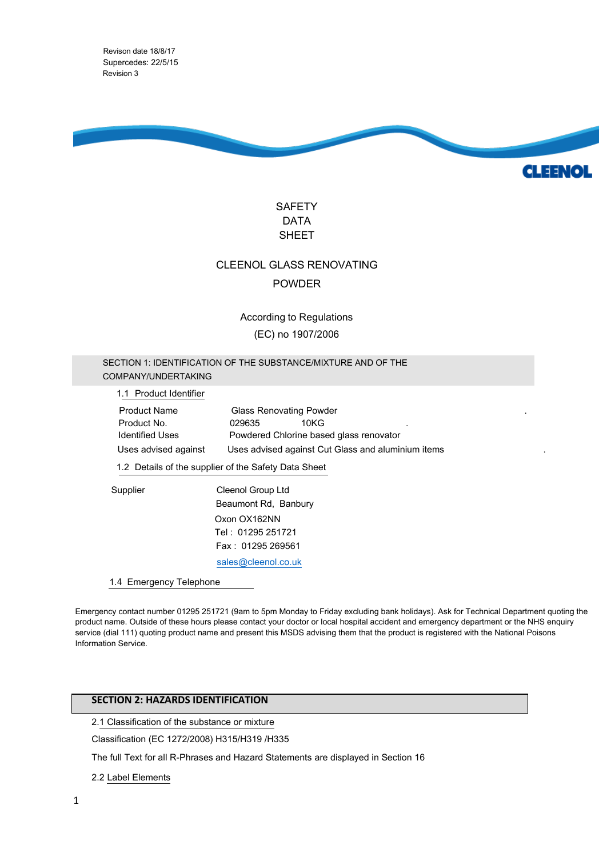Supercedes: 22/5/15 Revision 3 Revison date 18/8/17



**CLEENOL** 



# CLEENOL GLASS RENOVATING POWDER

According to Regulations (EC) no 1907/2006

# SECTION 1: IDENTIFICATION OF THE SUBSTANCE/MIXTURE AND OF THE COMPANY/UNDERTAKING

1.1 Product Identifier

Product Name **Glass Renovating Powder** Product No. 629635 10KG Identified Uses Powdered Chlorine based glass renovator Uses advised against Uses advised against Cut Glass and aluminium items

1.2 Details of the supplier of the Safety Data Sheet

Oxon OX162NN Tel : 01295 251721 Fax : 01295 269561 sales@cleenol.co.uk Supplier Cleenol Group Ltd Beaumont Rd, Banbury

1.4 Emergency Telephone

Emergency contact number 01295 251721 (9am to 5pm Monday to Friday excluding bank holidays). Ask for Technical Department quoting the product name. Outside of these hours please contact your doctor or local hospital accident and emergency department or the NHS enquiry service (dial 111) quoting product na[me and present this MSDS](mailto:sales@cleenol.co.uk) advising them that the product is registered with the National Poisons Information Service.

# **SECTION 2: HAZARDS IDENTIFICATION**

2.1 Classification of the substance or mixture

Classification (EC 1272/2008) H315/H319 /H335

The full Text for all R-Phrases and Hazard Statements are displayed in Section 16

2.2 Label Elements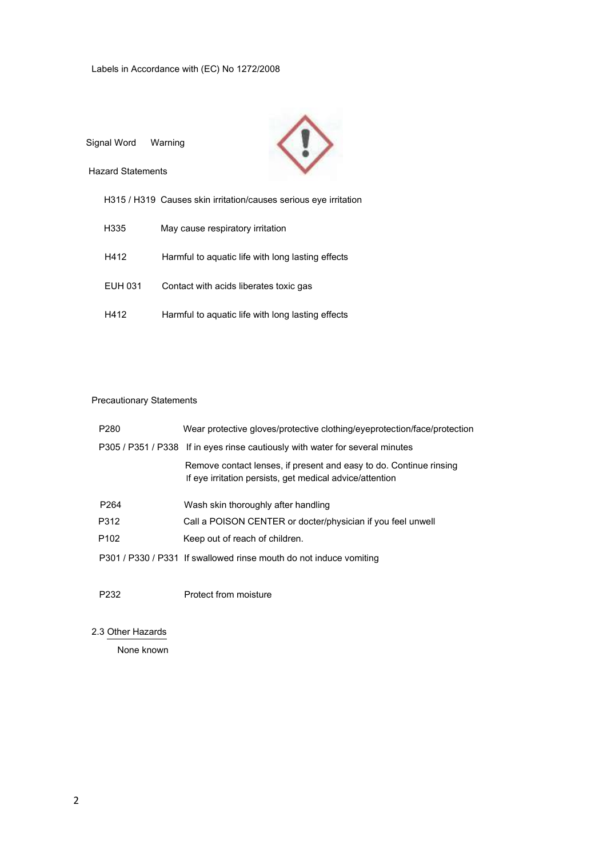

# Precautionary Statements

| P <sub>280</sub>  | Wear protective gloves/protective clothing/eyeprotection/face/protection                                                       |
|-------------------|--------------------------------------------------------------------------------------------------------------------------------|
|                   | P305 / P351 / P338 If in eyes rinse cautiously with water for several minutes                                                  |
|                   | Remove contact lenses, if present and easy to do. Continue rinsing<br>If eye irritation persists, get medical advice/attention |
| P <sub>264</sub>  | Wash skin thoroughly after handling                                                                                            |
| P312              | Call a POISON CENTER or docter/physician if you feel unwell                                                                    |
| P <sub>102</sub>  | Keep out of reach of children.                                                                                                 |
|                   | P301 / P330 / P331 If swallowed rinse mouth do not induce vomiting                                                             |
| P <sub>2</sub> 32 | Protect from moisture                                                                                                          |

2.3 Other Hazards

None known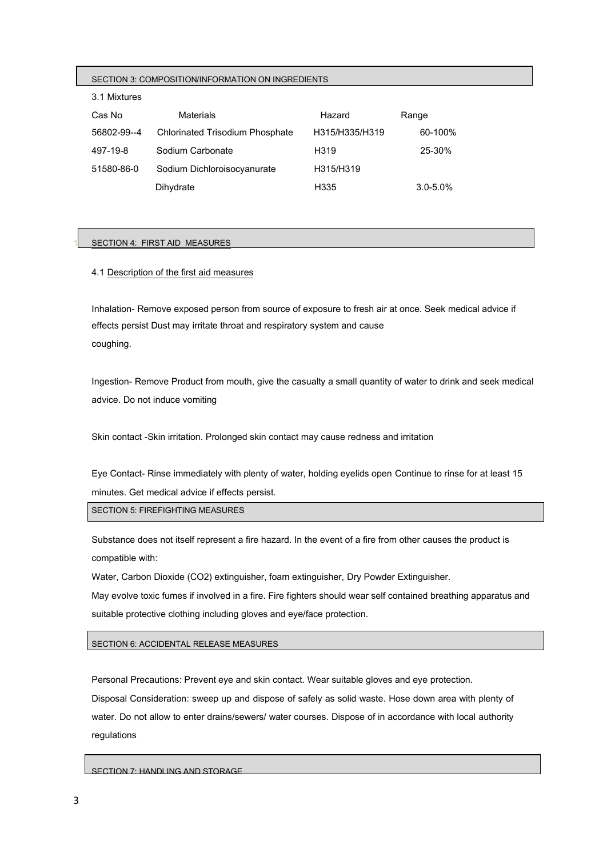### SECTION 3: COMPOSITION/INFORMATION ON INGREDIENTS

### 3.1 Mixtures

| Cas No      | <b>Materials</b>                       | Hazard         | Range        |
|-------------|----------------------------------------|----------------|--------------|
| 56802-99--4 | <b>Chlorinated Trisodium Phosphate</b> | H315/H335/H319 | 60-100%      |
| 497-19-8    | Sodium Carbonate                       | H319           | 25-30%       |
| 51580-86-0  | Sodium Dichloroisocyanurate            | H315/H319      |              |
|             | Dihydrate                              | H335           | $3.0 - 5.0%$ |

### SECTION 4: FIRST AID MEASURES

# 4.1 Description of the first aid measures

Inhalation- Remove exposed person from source of exposure to fresh air at once. Seek medical advice if effects persist Dust may irritate throat and respiratory system and cause coughing.

Ingestion- Remove Product from mouth, give the casualty a small quantity of water to drink and seek medical advice. Do not induce vomiting

Skin contact -Skin irritation. Prolonged skin contact may cause redness and irritation

Eye Contact- Rinse immediately with plenty of water, holding eyelids open Continue to rinse for at least 15 minutes. Get medical advice if effects persist.

SECTION 5: FIREFIGHTING MEASURES

Substance does not itself represent a fire hazard. In the event of a fire from other causes the product is compatible with:

Water, Carbon Dioxide (CO2) extinguisher, foam extinguisher, Dry Powder Extinguisher.

May evolve toxic fumes if involved in a fire. Fire fighters should wear self contained breathing apparatus and suitable protective clothing including gloves and eye/face protection.

SECTION 6: ACCIDENTAL RELEASE MEASURES

Personal Precautions: Prevent eye and skin contact. Wear suitable gloves and eye protection. Disposal Consideration: sweep up and dispose of safely as solid waste. Hose down area with plenty of water. Do not allow to enter drains/sewers/ water courses. Dispose of in accordance with local authority regulations

SECTION 7: HANDLING AND STORAGE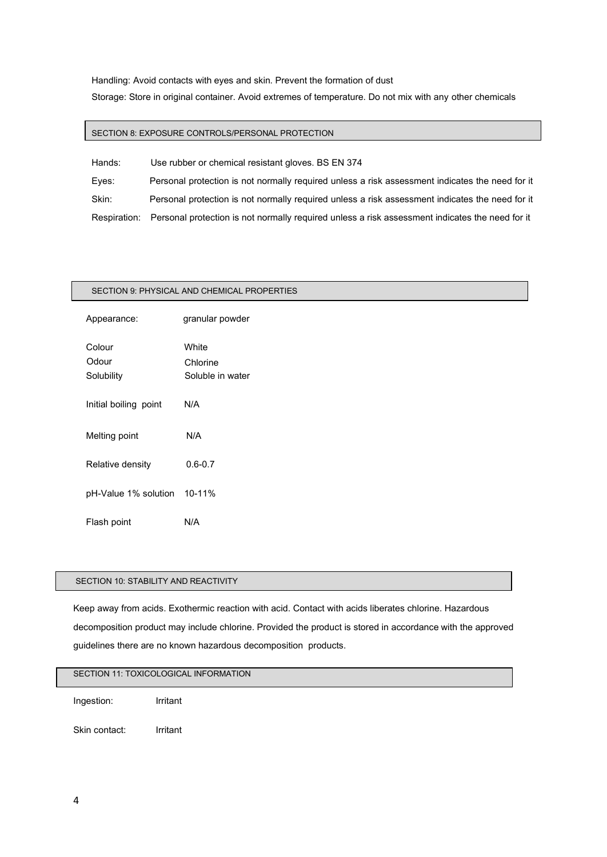Handling: Avoid contacts with eyes and skin. Prevent the formation of dust

Storage: Store in original container. Avoid extremes of temperature. Do not mix with any other chemicals

# SECTION 8: EXPOSURE CONTROLS/PERSONAL PROTECTION

| Hands: | Use rubber or chemical resistant gloves. BS EN 374                                                           |
|--------|--------------------------------------------------------------------------------------------------------------|
| Eves:  | Personal protection is not normally required unless a risk assessment indicates the need for it              |
| Skin:  | Personal protection is not normally required unless a risk assessment indicates the need for it              |
|        | Respiration: Personal protection is not normally required unless a risk assessment indicates the need for it |

# Appearance: granular powder Colour White

water

SECTION 9: PHYSICAL AND CHEMICAL PROPERTIES

| Odour<br>Solubility   | Chlorine<br>Soluble in |
|-----------------------|------------------------|
| Initial boiling point | N/A                    |
| Melting point         | N/A                    |
| Relative density      | $0.6 - 0.7$            |
| pH-Value 1% solution  | $10 - 11%$             |
| Flash point           | N/A                    |

# SECTION 10: STABILITY AND REACTIVITY

Keep away from acids. Exothermic reaction with acid. Contact with acids liberates chlorine. Hazardous decomposition product may include chlorine. Provided the product is stored in accordance with the approved guidelines there are no known hazardous decomposition products.

# SECTION 11: TOXICOLOGICAL INFORMATION

Ingestion: Irritant

Skin contact: Irritant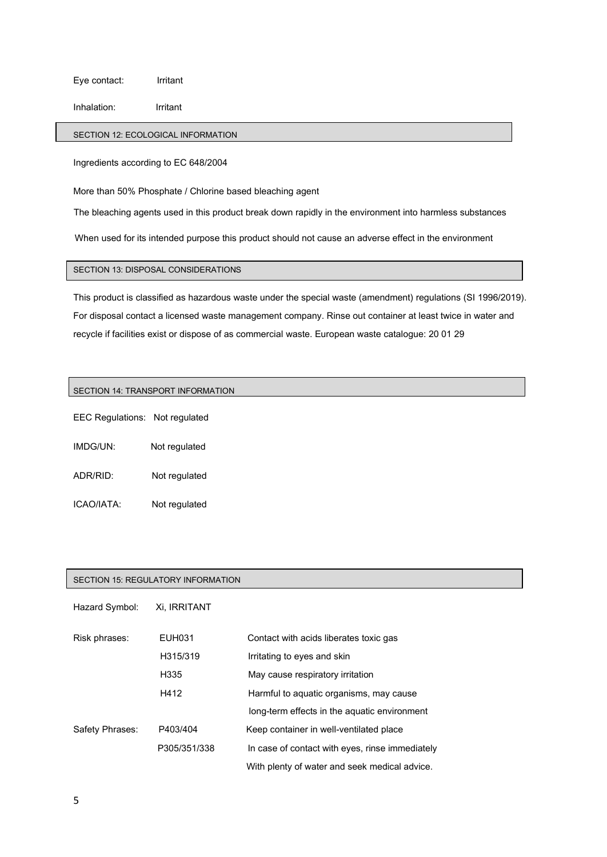Eye contact: Irritant

Inhalation: Irritant

# SECTION 12: ECOLOGICAL INFORMATION

Ingredients according to EC 648/2004

More than 50% Phosphate / Chlorine based bleaching agent

The bleaching agents used in this product break down rapidly in the environment into harmless substances

When used for its intended purpose this product should not cause an adverse effect in the environment

# SECTION 13: DISPOSAL CONSIDERATIONS

This product is classified as hazardous waste under the special waste (amendment) regulations (SI 1996/2019). For disposal contact a licensed waste management company. Rinse out container at least twice in water and recycle if facilities exist or dispose of as commercial waste. European waste catalogue: 20 01 29

### SECTION 14: TRANSPORT INFORMATION

EEC Regulations: Not regulated

| IMDG/UN: | Not regulated |
|----------|---------------|
|          |               |

ADR/RID: Not regulated

ICAO/IATA: Not regulated

### SECTION 15: REGULATORY INFORMATION

Hazard Symbol: Xi, IRRITANT

| Risk phrases:   | EUH031       | Contact with acids liberates toxic gas          |
|-----------------|--------------|-------------------------------------------------|
|                 | H315/319     | Irritating to eyes and skin                     |
|                 | H335         | May cause respiratory irritation                |
|                 | H412         | Harmful to aquatic organisms, may cause         |
|                 |              | long-term effects in the aquatic environment    |
| Safety Phrases: | P403/404     | Keep container in well-ventilated place         |
|                 | P305/351/338 | In case of contact with eyes, rinse immediately |
|                 |              | With plenty of water and seek medical advice.   |